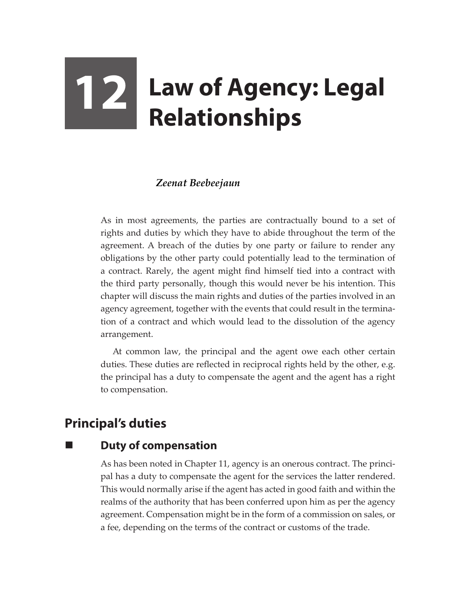# **12 Law of Agency: Legal Relationships**

## *Zeenat Beebeejaun*

As in most agreements, the parties are contractually bound to a set of rights and duties by which they have to abide throughout the term of the agreement. A breach of the duties by one party or failure to render any obligations by the other party could potentially lead to the termination of a contract. Rarely, the agent might find himself tied into a contract with the third party personally, though this would never be his intention. This chapter will discuss the main rights and duties of the parties involved in an agency agreement, together with the events that could result in the termination of a contract and which would lead to the dissolution of the agency arrangement.

At common law, the principal and the agent owe each other certain duties. These duties are reflected in reciprocal rights held by the other, e.g. the principal has a duty to compensate the agent and the agent has a right to compensation.

# **Principal's duties**

# **Duty of compensation**

As has been noted in Chapter 11, agency is an onerous contract. The principal has a duty to compensate the agent for the services the latter rendered. This would normally arise if the agent has acted in good faith and within the realms of the authority that has been conferred upon him as per the agency agreement. Compensation might be in the form of a commission on sales, or a fee, depending on the terms of the contract or customs of the trade.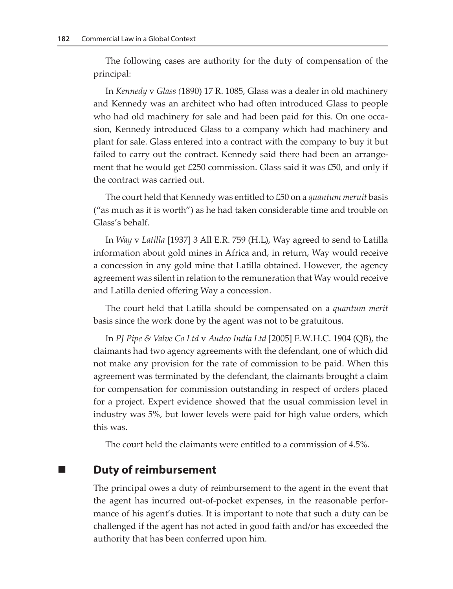The following cases are authority for the duty of compensation of the principal:

In *Kennedy* v *Glass (*1890) 17 R. 1085, Glass was a dealer in old machinery and Kennedy was an architect who had often introduced Glass to people who had old machinery for sale and had been paid for this. On one occasion, Kennedy introduced Glass to a company which had machinery and plant for sale. Glass entered into a contract with the company to buy it but failed to carry out the contract. Kennedy said there had been an arrangement that he would get  $£250$  commission. Glass said it was  $£50$ , and only if the contract was carried out.

The court held that Kennedy was entitled to £50 on a *quantum meruit* basis ("as much as it is worth") as he had taken considerable time and trouble on Glass's behalf.

In *Way* v *Latilla* [1937] 3 All E.R. 759 (H.L), Way agreed to send to Latilla information about gold mines in Africa and, in return, Way would receive a concession in any gold mine that Latilla obtained. However, the agency agreement was silent in relation to the remuneration that Way would receive and Latilla denied offering Way a concession.

The court held that Latilla should be compensated on a *quantum merit* basis since the work done by the agent was not to be gratuitous.

In *PJ Pipe & Valve Co Ltd* v *Audco India Ltd* [2005] E.W.H.C. 1904 (QB), the claimants had two agency agreements with the defendant, one of which did not make any provision for the rate of commission to be paid. When this agreement was terminated by the defendant, the claimants brought a claim for compensation for commission outstanding in respect of orders placed for a project. Expert evidence showed that the usual commission level in industry was 5%, but lower levels were paid for high value orders, which this was.

The court held the claimants were entitled to a commission of 4.5%.

## **Duty of reimbursement**

The principal owes a duty of reimbursement to the agent in the event that the agent has incurred out-of-pocket expenses, in the reasonable performance of his agent's duties. It is important to note that such a duty can be challenged if the agent has not acted in good faith and/or has exceeded the authority that has been conferred upon him.